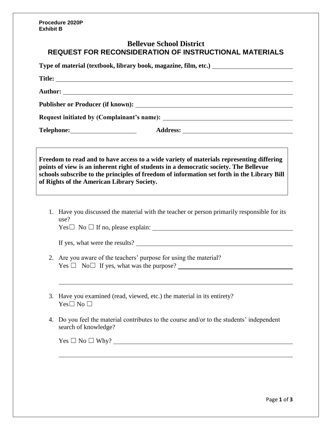**Procedure 2020P Exhibit B**

## **Bellevue School District REQUEST FOR RECONSIDERATION OF INSTRUCTIONAL MATERIALS**

| Type of material (textbook, library book, magazine, film, etc.) _________________ |                                                                                                                                                                                                                                    |  |  |                                                                                          |
|-----------------------------------------------------------------------------------|------------------------------------------------------------------------------------------------------------------------------------------------------------------------------------------------------------------------------------|--|--|------------------------------------------------------------------------------------------|
|                                                                                   |                                                                                                                                                                                                                                    |  |  |                                                                                          |
|                                                                                   |                                                                                                                                                                                                                                    |  |  |                                                                                          |
|                                                                                   |                                                                                                                                                                                                                                    |  |  |                                                                                          |
|                                                                                   |                                                                                                                                                                                                                                    |  |  | Freedom to read and to have access to a wide variety of materials representing differing |
|                                                                                   | points of view is an inherent right of students in a democratic society. The Bellevue<br>schools subscribe to the principles of freedom of information set forth in the Library Bill<br>of Rights of the American Library Society. |  |  |                                                                                          |
| 1.                                                                                | Have you discussed the material with the teacher or person primarily responsible for its<br>use?<br>$Yes \Box No \Box If no, please explain:$                                                                                      |  |  |                                                                                          |
|                                                                                   | If yes, what were the results?                                                                                                                                                                                                     |  |  |                                                                                          |
|                                                                                   | 2. Are you aware of the teachers' purpose for using the material?<br>$Yes \Box No \Box If yes, what was the purpose?$                                                                                                              |  |  |                                                                                          |
|                                                                                   | 3. Have you examined (read, viewed, etc.) the material in its entirety?<br>$Yes \Box No \Box$                                                                                                                                      |  |  |                                                                                          |
| 4.                                                                                | Do you feel the material contributes to the course and/or to the students' independent<br>search of knowledge?                                                                                                                     |  |  |                                                                                          |
|                                                                                   | $Yes \Box No \Box Why?$                                                                                                                                                                                                            |  |  |                                                                                          |
|                                                                                   |                                                                                                                                                                                                                                    |  |  |                                                                                          |
|                                                                                   |                                                                                                                                                                                                                                    |  |  |                                                                                          |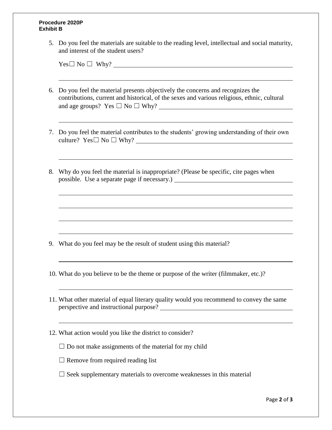## **Procedure 2020P Exhibit B**

5. Do you feel the materials are suitable to the reading level, intellectual and social maturity, and interest of the student users?

 $Yes \Box No \Box Why?$ 

- 6. Do you feel the material presents objectively the concerns and recognizes the contributions, current and historical, of the sexes and various religious, ethnic, cultural and age groups? Yes ☐ No ☐ Why?
- 7. Do you feel the material contributes to the students' growing understanding of their own culture?  $Yes \Box No \Box Why?$
- 8. Why do you feel the material is inappropriate? (Please be specific, cite pages when possible. Use a separate page if necessary.)

- 9. What do you feel may be the result of student using this material?
- 10. What do you believe to be the theme or purpose of the writer (filmmaker, etc.)?
- 11. What other material of equal literary quality would you recommend to convey the same perspective and instructional purpose?
- 12. What action would you like the district to consider?
	- $\Box$  Do not make assignments of the material for my child
	- $\Box$  Remove from required reading list
	- $\Box$  Seek supplementary materials to overcome weaknesses in this material